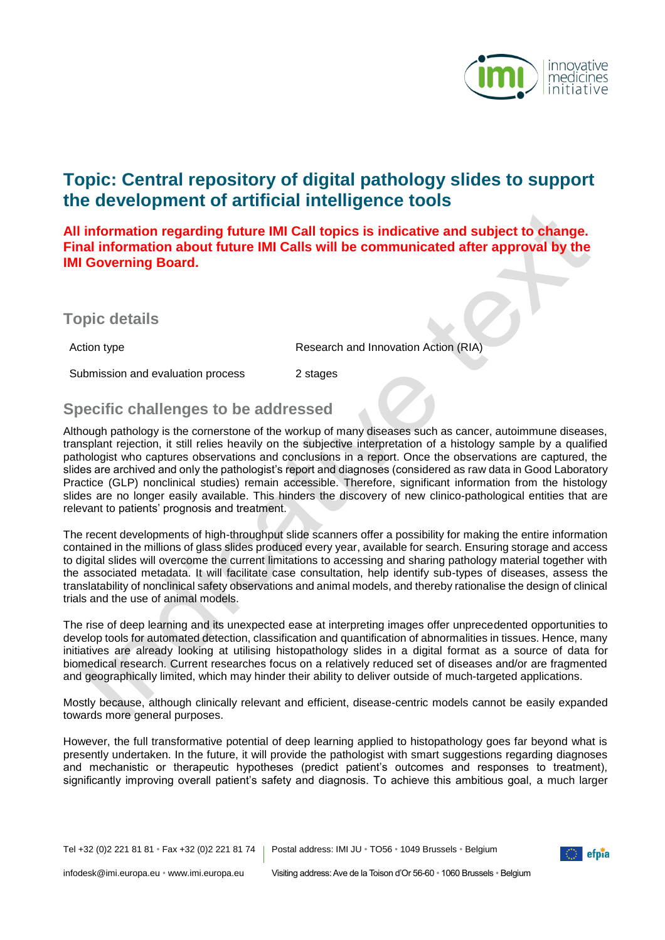

# **Topic: Central repository of digital pathology slides to support the development of artificial intelligence tools**

**All information regarding future IMI Call topics is indicative and subject to change. Final information about future IMI Calls will be communicated after approval by the IMI Governing Board.**

**Topic details**

Submission and evaluation process 2 stages

Action type **Research and Innovation Action (RIA)** 

### **Specific challenges to be addressed**

Although pathology is the cornerstone of the workup of many diseases such as cancer, autoimmune diseases, transplant rejection, it still relies heavily on the subjective interpretation of a histology sample by a qualified pathologist who captures observations and conclusions in a report. Once the observations are captured, the slides are archived and only the pathologist's report and diagnoses (considered as raw data in Good Laboratory Practice (GLP) nonclinical studies) remain accessible. Therefore, significant information from the histology slides are no longer easily available. This hinders the discovery of new clinico-pathological entities that are relevant to patients' prognosis and treatment.

The recent developments of high-throughput slide scanners offer a possibility for making the entire information contained in the millions of glass slides produced every year, available for search. Ensuring storage and access to digital slides will overcome the current limitations to accessing and sharing pathology material together with the associated metadata. It will facilitate case consultation, help identify sub-types of diseases, assess the translatability of nonclinical safety observations and animal models, and thereby rationalise the design of clinical trials and the use of animal models.

The rise of deep learning and its unexpected ease at interpreting images offer unprecedented opportunities to develop tools for automated detection, classification and quantification of abnormalities in tissues. Hence, many initiatives are already looking at utilising histopathology slides in a digital format as a source of data for biomedical research. Current researches focus on a relatively reduced set of diseases and/or are fragmented and geographically limited, which may hinder their ability to deliver outside of much-targeted applications.

Mostly because, although clinically relevant and efficient, disease-centric models cannot be easily expanded towards more general purposes.

However, the full transformative potential of deep learning applied to histopathology goes far beyond what is presently undertaken. In the future, it will provide the pathologist with smart suggestions regarding diagnoses and mechanistic or therapeutic hypotheses (predict patient's outcomes and responses to treatment), significantly improving overall patient's safety and diagnosis. To achieve this ambitious goal, a much larger

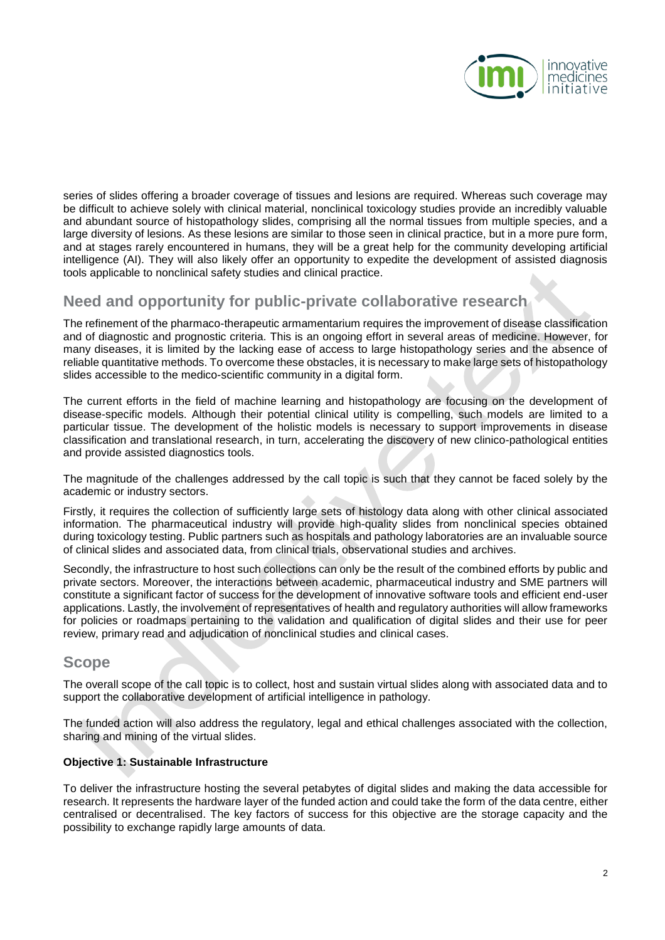

series of slides offering a broader coverage of tissues and lesions are required. Whereas such coverage may be difficult to achieve solely with clinical material, nonclinical toxicology studies provide an incredibly valuable and abundant source of histopathology slides, comprising all the normal tissues from multiple species, and a large diversity of lesions. As these lesions are similar to those seen in clinical practice, but in a more pure form, and at stages rarely encountered in humans, they will be a great help for the community developing artificial intelligence (AI). They will also likely offer an opportunity to expedite the development of assisted diagnosis tools applicable to nonclinical safety studies and clinical practice.

### **Need and opportunity for public-private collaborative research**

The refinement of the pharmaco-therapeutic armamentarium requires the improvement of disease classification and of diagnostic and prognostic criteria. This is an ongoing effort in several areas of medicine. However, for many diseases, it is limited by the lacking ease of access to large histopathology series and the absence of reliable quantitative methods. To overcome these obstacles, it is necessary to make large sets of histopathology slides accessible to the medico-scientific community in a digital form.

The current efforts in the field of machine learning and histopathology are focusing on the development of disease-specific models. Although their potential clinical utility is compelling, such models are limited to a particular tissue. The development of the holistic models is necessary to support improvements in disease classification and translational research, in turn, accelerating the discovery of new clinico-pathological entities and provide assisted diagnostics tools.

The magnitude of the challenges addressed by the call topic is such that they cannot be faced solely by the academic or industry sectors.

Firstly, it requires the collection of sufficiently large sets of histology data along with other clinical associated information. The pharmaceutical industry will provide high-quality slides from nonclinical species obtained during toxicology testing. Public partners such as hospitals and pathology laboratories are an invaluable source of clinical slides and associated data, from clinical trials, observational studies and archives.

Secondly, the infrastructure to host such collections can only be the result of the combined efforts by public and private sectors. Moreover, the interactions between academic, pharmaceutical industry and SME partners will constitute a significant factor of success for the development of innovative software tools and efficient end-user applications. Lastly, the involvement of representatives of health and regulatory authorities will allow frameworks for policies or roadmaps pertaining to the validation and qualification of digital slides and their use for peer review, primary read and adjudication of nonclinical studies and clinical cases.

### **Scope**

The overall scope of the call topic is to collect, host and sustain virtual slides along with associated data and to support the collaborative development of artificial intelligence in pathology.

The funded action will also address the regulatory, legal and ethical challenges associated with the collection, sharing and mining of the virtual slides.

#### **Objective 1: Sustainable Infrastructure**

To deliver the infrastructure hosting the several petabytes of digital slides and making the data accessible for research. It represents the hardware layer of the funded action and could take the form of the data centre, either centralised or decentralised. The key factors of success for this objective are the storage capacity and the possibility to exchange rapidly large amounts of data.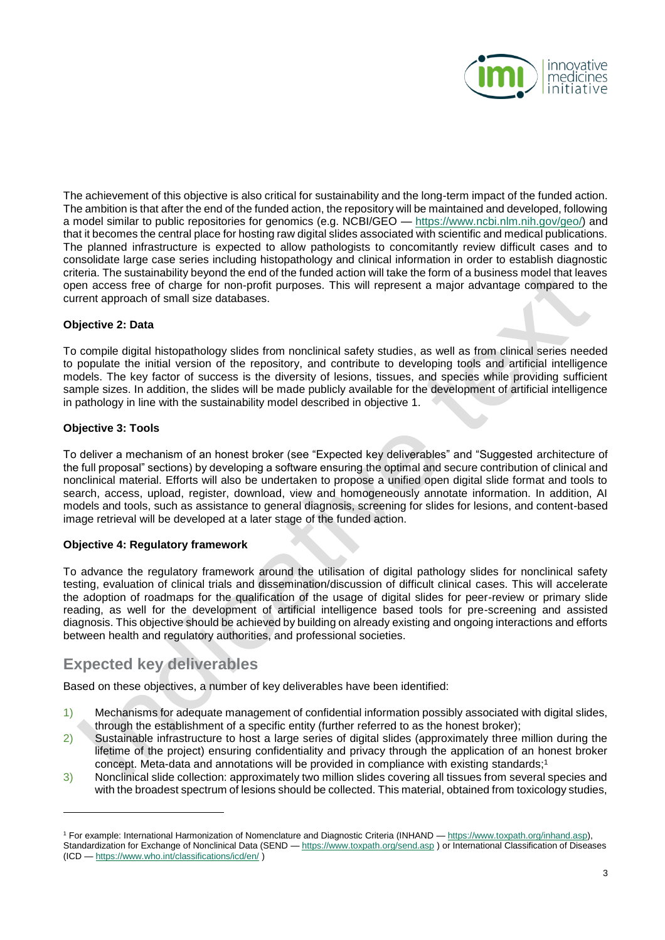

The achievement of this objective is also critical for sustainability and the long-term impact of the funded action. The ambition is that after the end of the funded action, the repository will be maintained and developed, following a model similar to public repositories for genomics (e.g. NCBI/GEO — [https://www.ncbi.nlm.nih.gov/geo/\)](https://www.ncbi.nlm.nih.gov/geo/) and that it becomes the central place for hosting raw digital slides associated with scientific and medical publications. The planned infrastructure is expected to allow pathologists to concomitantly review difficult cases and to consolidate large case series including histopathology and clinical information in order to establish diagnostic criteria. The sustainability beyond the end of the funded action will take the form of a business model that leaves open access free of charge for non-profit purposes. This will represent a major advantage compared to the current approach of small size databases.

#### **Objective 2: Data**

To compile digital histopathology slides from nonclinical safety studies, as well as from clinical series needed to populate the initial version of the repository, and contribute to developing tools and artificial intelligence models. The key factor of success is the diversity of lesions, tissues, and species while providing sufficient sample sizes. In addition, the slides will be made publicly available for the development of artificial intelligence in pathology in line with the sustainability model described in objective 1.

#### **Objective 3: Tools**

l

To deliver a mechanism of an honest broker (see "Expected key deliverables" and "Suggested architecture of the full proposal" sections) by developing a software ensuring the optimal and secure contribution of clinical and nonclinical material. Efforts will also be undertaken to propose a unified open digital slide format and tools to search, access, upload, register, download, view and homogeneously annotate information. In addition, AI models and tools, such as assistance to general diagnosis, screening for slides for lesions, and content-based image retrieval will be developed at a later stage of the funded action.

#### **Objective 4: Regulatory framework**

To advance the regulatory framework around the utilisation of digital pathology slides for nonclinical safety testing, evaluation of clinical trials and dissemination/discussion of difficult clinical cases. This will accelerate the adoption of roadmaps for the qualification of the usage of digital slides for peer-review or primary slide reading, as well for the development of artificial intelligence based tools for pre-screening and assisted diagnosis. This objective should be achieved by building on already existing and ongoing interactions and efforts between health and regulatory authorities, and professional societies.

### **Expected key deliverables**

Based on these objectives, a number of key deliverables have been identified:

- 1) Mechanisms for adequate management of confidential information possibly associated with digital slides, through the establishment of a specific entity (further referred to as the honest broker);
- 2) Sustainable infrastructure to host a large series of digital slides (approximately three million during the lifetime of the project) ensuring confidentiality and privacy through the application of an honest broker concept. Meta-data and annotations will be provided in compliance with existing standards;<sup>1</sup>
- 3) Nonclinical slide collection: approximately two million slides covering all tissues from several species and with the broadest spectrum of lesions should be collected. This material, obtained from toxicology studies,

<sup>&</sup>lt;sup>1</sup> For example: International Harmonization of Nomenclature and Diagnostic Criteria (INHAND — [https://www.toxpath.org/inhand.asp\)](https://www.toxpath.org/inhand.asp), Standardization for Exchange of Nonclinical Data (SEND — <https://www.toxpath.org/send.asp> ) or International Classification of Diseases (ICD — <https://www.who.int/classifications/icd/en/> )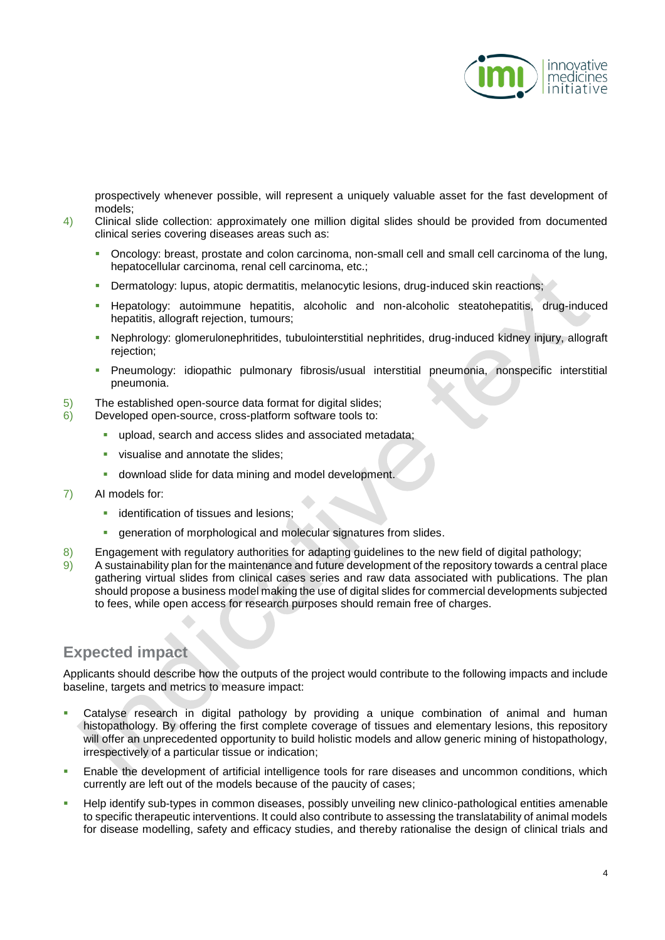

prospectively whenever possible, will represent a uniquely valuable asset for the fast development of models;

- 4) Clinical slide collection: approximately one million digital slides should be provided from documented clinical series covering diseases areas such as:
	- Oncology: breast, prostate and colon carcinoma, non-small cell and small cell carcinoma of the lung, hepatocellular carcinoma, renal cell carcinoma, etc.;
	- Dermatology: lupus, atopic dermatitis, melanocytic lesions, drug-induced skin reactions;
	- Hepatology: autoimmune hepatitis, alcoholic and non-alcoholic steatohepatitis, drug-induced hepatitis, allograft rejection, tumours;
	- Nephrology: glomerulonephritides, tubulointerstitial nephritides, drug-induced kidney injury, allograft rejection:
	- Pneumology: idiopathic pulmonary fibrosis/usual interstitial pneumonia, nonspecific interstitial pneumonia.
- 5) The established open-source data format for digital slides;
- 6) Developed open-source, cross-platform software tools to:
	- upload, search and access slides and associated metadata;
	- visualise and annotate the slides;
	- download slide for data mining and model development.
- 7) AI models for:
	- identification of tissues and lesions;
	- generation of morphological and molecular signatures from slides.
- 8) Engagement with regulatory authorities for adapting guidelines to the new field of digital pathology;
- 9) A sustainability plan for the maintenance and future development of the repository towards a central place gathering virtual slides from clinical cases series and raw data associated with publications. The plan should propose a business model making the use of digital slides for commercial developments subjected to fees, while open access for research purposes should remain free of charges.

## **Expected impact**

Applicants should describe how the outputs of the project would contribute to the following impacts and include baseline, targets and metrics to measure impact:

- Catalyse research in digital pathology by providing a unique combination of animal and human histopathology. By offering the first complete coverage of tissues and elementary lesions, this repository will offer an unprecedented opportunity to build holistic models and allow generic mining of histopathology, irrespectively of a particular tissue or indication;
- Enable the development of artificial intelligence tools for rare diseases and uncommon conditions, which currently are left out of the models because of the paucity of cases;
- Help identify sub-types in common diseases, possibly unveiling new clinico-pathological entities amenable to specific therapeutic interventions. It could also contribute to assessing the translatability of animal models for disease modelling, safety and efficacy studies, and thereby rationalise the design of clinical trials and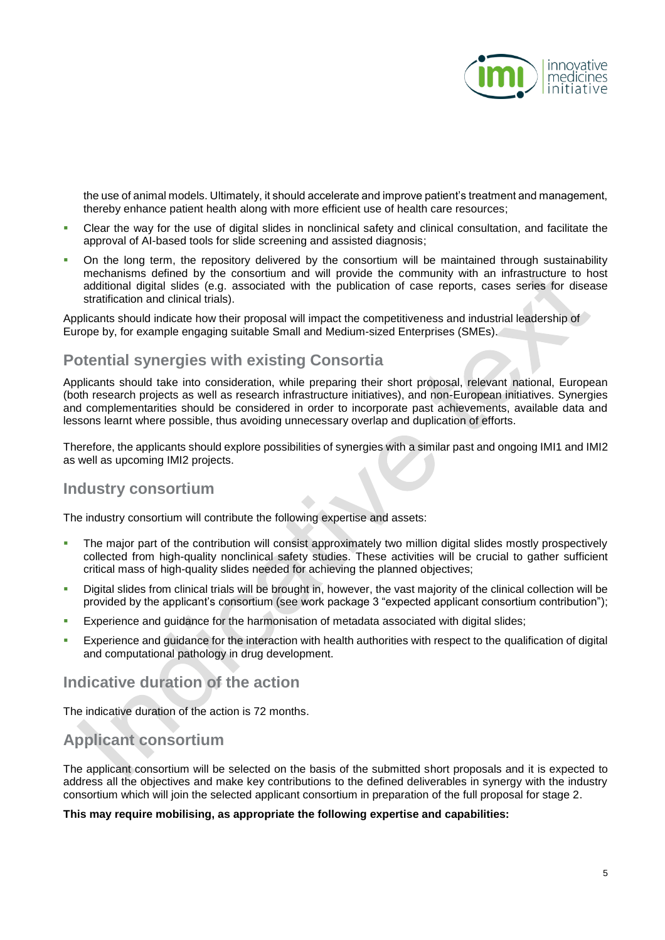

the use of animal models. Ultimately, it should accelerate and improve patient's treatment and management, thereby enhance patient health along with more efficient use of health care resources;

- Clear the way for the use of digital slides in nonclinical safety and clinical consultation, and facilitate the approval of AI-based tools for slide screening and assisted diagnosis;
- On the long term, the repository delivered by the consortium will be maintained through sustainability mechanisms defined by the consortium and will provide the community with an infrastructure to host additional digital slides (e.g. associated with the publication of case reports, cases series for disease stratification and clinical trials).

Applicants should indicate how their proposal will impact the competitiveness and industrial leadership of Europe by, for example engaging suitable Small and Medium-sized Enterprises (SMEs).

## **Potential synergies with existing Consortia**

Applicants should take into consideration, while preparing their short proposal, relevant national, European (both research projects as well as research infrastructure initiatives), and non-European initiatives. Synergies and complementarities should be considered in order to incorporate past achievements, available data and lessons learnt where possible, thus avoiding unnecessary overlap and duplication of efforts.

Therefore, the applicants should explore possibilities of synergies with a similar past and ongoing IMI1 and IMI2 as well as upcoming IMI2 projects.

### **Industry consortium**

The industry consortium will contribute the following expertise and assets:

- The major part of the contribution will consist approximately two million digital slides mostly prospectively collected from high-quality nonclinical safety studies. These activities will be crucial to gather sufficient critical mass of high-quality slides needed for achieving the planned objectives;
- Digital slides from clinical trials will be brought in, however, the vast majority of the clinical collection will be provided by the applicant's consortium (see work package 3 "expected applicant consortium contribution");
- Experience and guidance for the harmonisation of metadata associated with digital slides;
- Experience and guidance for the interaction with health authorities with respect to the qualification of digital and computational pathology in drug development.

### **Indicative duration of the action**

The indicative duration of the action is 72 months.

## **Applicant consortium**

The applicant consortium will be selected on the basis of the submitted short proposals and it is expected to address all the objectives and make key contributions to the defined deliverables in synergy with the industry consortium which will join the selected applicant consortium in preparation of the full proposal for stage 2.

#### **This may require mobilising, as appropriate the following expertise and capabilities:**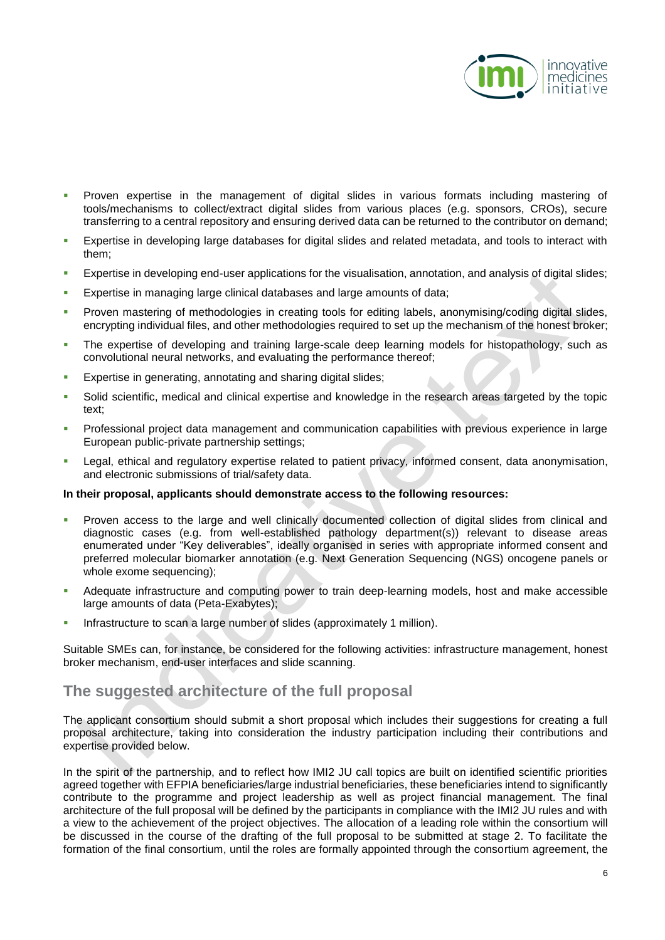

- **Proven expertise in the management of digital slides in various formats including mastering of** tools/mechanisms to collect/extract digital slides from various places (e.g. sponsors, CROs), secure transferring to a central repository and ensuring derived data can be returned to the contributor on demand;
- Expertise in developing large databases for digital slides and related metadata, and tools to interact with them;
- Expertise in developing end-user applications for the visualisation, annotation, and analysis of digital slides;
- **Expertise in managing large clinical databases and large amounts of data;**
- **Proven mastering of methodologies in creating tools for editing labels, anonymising/coding digital slides,** encrypting individual files, and other methodologies required to set up the mechanism of the honest broker;
- The expertise of developing and training large-scale deep learning models for histopathology, such as convolutional neural networks, and evaluating the performance thereof;
- **Expertise in generating, annotating and sharing digital slides;**
- Solid scientific, medical and clinical expertise and knowledge in the research areas targeted by the topic text;
- **Professional project data management and communication capabilities with previous experience in large** European public-private partnership settings;
- Legal, ethical and regulatory expertise related to patient privacy, informed consent, data anonymisation, and electronic submissions of trial/safety data.

#### **In their proposal, applicants should demonstrate access to the following resources:**

- Proven access to the large and well clinically documented collection of digital slides from clinical and diagnostic cases (e.g. from well-established pathology department(s)) relevant to disease areas enumerated under "Key deliverables", ideally organised in series with appropriate informed consent and preferred molecular biomarker annotation (e.g. Next Generation Sequencing (NGS) oncogene panels or whole exome sequencing);
- Adequate infrastructure and computing power to train deep-learning models, host and make accessible large amounts of data (Peta-Exabytes);
- Infrastructure to scan a large number of slides (approximately 1 million).

Suitable SMEs can, for instance, be considered for the following activities: infrastructure management, honest broker mechanism, end-user interfaces and slide scanning.

## **The suggested architecture of the full proposal**

The applicant consortium should submit a short proposal which includes their suggestions for creating a full proposal architecture, taking into consideration the industry participation including their contributions and expertise provided below.

In the spirit of the partnership, and to reflect how IMI2 JU call topics are built on identified scientific priorities agreed together with EFPIA beneficiaries/large industrial beneficiaries, these beneficiaries intend to significantly contribute to the programme and project leadership as well as project financial management. The final architecture of the full proposal will be defined by the participants in compliance with the IMI2 JU rules and with a view to the achievement of the project objectives. The allocation of a leading role within the consortium will be discussed in the course of the drafting of the full proposal to be submitted at stage 2. To facilitate the formation of the final consortium, until the roles are formally appointed through the consortium agreement, the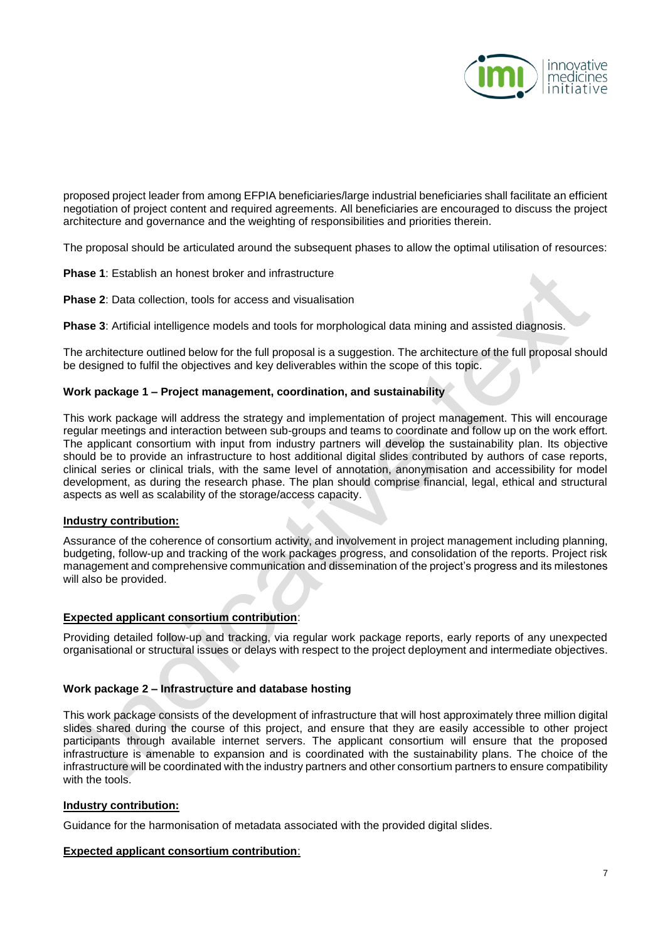

proposed project leader from among EFPIA beneficiaries/large industrial beneficiaries shall facilitate an efficient negotiation of project content and required agreements. All beneficiaries are encouraged to discuss the project architecture and governance and the weighting of responsibilities and priorities therein.

The proposal should be articulated around the subsequent phases to allow the optimal utilisation of resources:

**Phase 1**: Establish an honest broker and infrastructure

**Phase 2**: Data collection, tools for access and visualisation

**Phase 3**: Artificial intelligence models and tools for morphological data mining and assisted diagnosis.

The architecture outlined below for the full proposal is a suggestion. The architecture of the full proposal should be designed to fulfil the objectives and key deliverables within the scope of this topic.

#### **Work package 1 – Project management, coordination, and sustainability**

This work package will address the strategy and implementation of project management. This will encourage regular meetings and interaction between sub-groups and teams to coordinate and follow up on the work effort. The applicant consortium with input from industry partners will develop the sustainability plan. Its objective should be to provide an infrastructure to host additional digital slides contributed by authors of case reports, clinical series or clinical trials, with the same level of annotation, anonymisation and accessibility for model development, as during the research phase. The plan should comprise financial, legal, ethical and structural aspects as well as scalability of the storage/access capacity.

#### **Industry contribution:**

Assurance of the coherence of consortium activity, and involvement in project management including planning, budgeting, follow-up and tracking of the work packages progress, and consolidation of the reports. Project risk management and comprehensive communication and dissemination of the project's progress and its milestones will also be provided.

#### **Expected applicant consortium contribution**:

Providing detailed follow-up and tracking, via regular work package reports, early reports of any unexpected organisational or structural issues or delays with respect to the project deployment and intermediate objectives.

#### **Work package 2 – Infrastructure and database hosting**

This work package consists of the development of infrastructure that will host approximately three million digital slides shared during the course of this project, and ensure that they are easily accessible to other project participants through available internet servers. The applicant consortium will ensure that the proposed infrastructure is amenable to expansion and is coordinated with the sustainability plans. The choice of the infrastructure will be coordinated with the industry partners and other consortium partners to ensure compatibility with the tools.

#### **Industry contribution:**

Guidance for the harmonisation of metadata associated with the provided digital slides.

#### **Expected applicant consortium contribution**: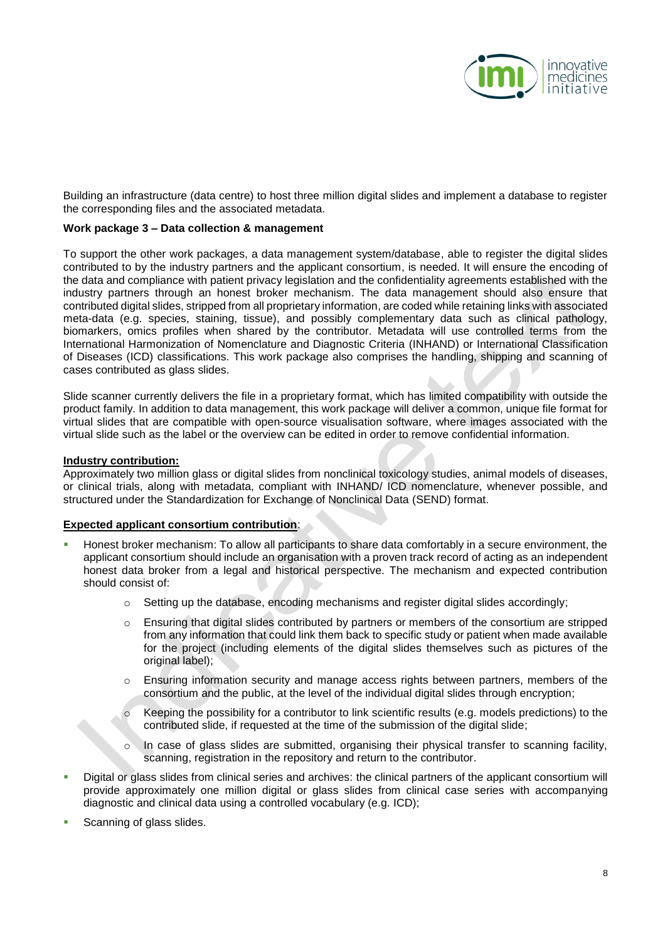

Building an infrastructure (data centre) to host three million digital slides and implement a database to register the corresponding files and the associated metadata.

#### **Work package 3 – Data collection & management**

To support the other work packages, a data management system/database, able to register the digital slides contributed to by the industry partners and the applicant consortium, is needed. It will ensure the encoding of the data and compliance with patient privacy legislation and the confidentiality agreements established with the industry partners through an honest broker mechanism. The data management should also ensure that contributed digital slides, stripped from all proprietary information, are coded while retaining links with associated meta-data (e.g. species, staining, tissue), and possibly complementary data such as clinical pathology, biomarkers, omics profiles when shared by the contributor. Metadata will use controlled terms from the International Harmonization of Nomenclature and Diagnostic Criteria (INHAND) or International Classification of Diseases (ICD) classifications. This work package also comprises the handling, shipping and scanning of cases contributed as glass slides.

Slide scanner currently delivers the file in a proprietary format, which has limited compatibility with outside the product family. In addition to data management, this work package will deliver a common, unique file format for virtual slides that are compatible with open-source visualisation software, where images associated with the virtual slide such as the label or the overview can be edited in order to remove confidential information.

#### **Industry contribution:**

Approximately two million glass or digital slides from nonclinical toxicology studies, animal models of diseases, or clinical trials, along with metadata, compliant with INHAND/ ICD nomenclature, whenever possible, and structured under the Standardization for Exchange of Nonclinical Data (SEND) format.

#### **Expected applicant consortium contribution**:

- Honest broker mechanism: To allow all participants to share data comfortably in a secure environment, the applicant consortium should include an organisation with a proven track record of acting as an independent honest data broker from a legal and historical perspective. The mechanism and expected contribution should consist of:
	- o Setting up the database, encoding mechanisms and register digital slides accordingly;
	- o Ensuring that digital slides contributed by partners or members of the consortium are stripped from any information that could link them back to specific study or patient when made available for the project (including elements of the digital slides themselves such as pictures of the original label);
	- o Ensuring information security and manage access rights between partners, members of the consortium and the public, at the level of the individual digital slides through encryption;
	- Keeping the possibility for a contributor to link scientific results (e.g. models predictions) to the contributed slide, if requested at the time of the submission of the digital slide;
	- In case of glass slides are submitted, organising their physical transfer to scanning facility, scanning, registration in the repository and return to the contributor.
- Digital or glass slides from clinical series and archives: the clinical partners of the applicant consortium will provide approximately one million digital or glass slides from clinical case series with accompanying diagnostic and clinical data using a controlled vocabulary (e.g. ICD);
- Scanning of glass slides.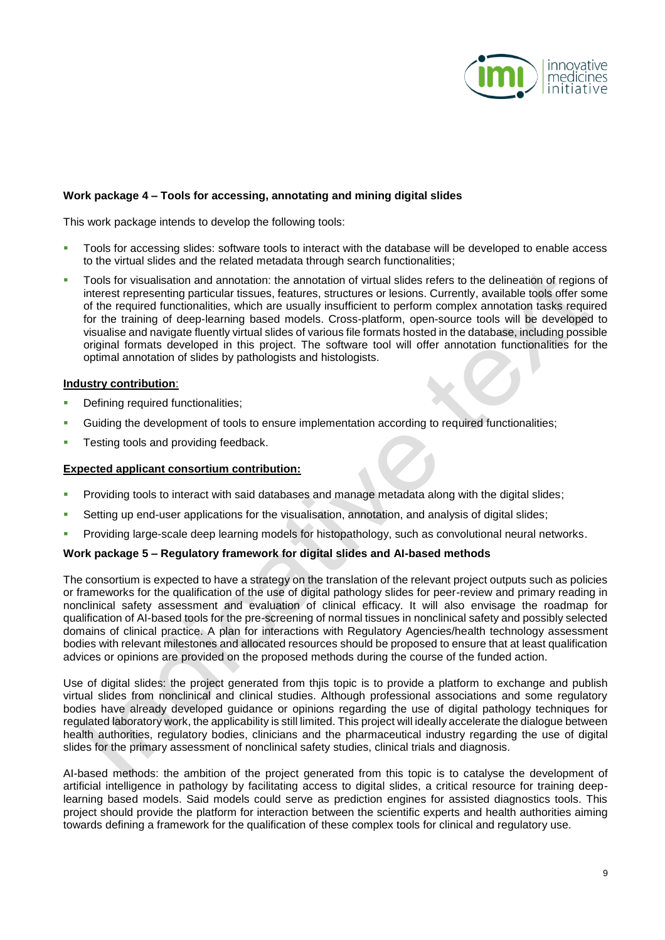

#### **Work package 4 – Tools for accessing, annotating and mining digital slides**

This work package intends to develop the following tools:

- Tools for accessing slides: software tools to interact with the database will be developed to enable access to the virtual slides and the related metadata through search functionalities;
- Tools for visualisation and annotation: the annotation of virtual slides refers to the delineation of regions of interest representing particular tissues, features, structures or lesions. Currently, available tools offer some of the required functionalities, which are usually insufficient to perform complex annotation tasks required for the training of deep-learning based models. Cross-platform, open-source tools will be developed to visualise and navigate fluently virtual slides of various file formats hosted in the database, including possible original formats developed in this project. The software tool will offer annotation functionalities for the optimal annotation of slides by pathologists and histologists.

#### **Industry contribution**:

- Defining required functionalities;
- Guiding the development of tools to ensure implementation according to required functionalities;
- Testing tools and providing feedback.

#### **Expected applicant consortium contribution:**

- Providing tools to interact with said databases and manage metadata along with the digital slides;
- Setting up end-user applications for the visualisation, annotation, and analysis of digital slides;
- Providing large-scale deep learning models for histopathology, such as convolutional neural networks.

#### **Work package 5 – Regulatory framework for digital slides and AI-based methods**

The consortium is expected to have a strategy on the translation of the relevant project outputs such as policies or frameworks for the qualification of the use of digital pathology slides for peer-review and primary reading in nonclinical safety assessment and evaluation of clinical efficacy. It will also envisage the roadmap for qualification of AI-based tools for the pre-screening of normal tissues in nonclinical safety and possibly selected domains of clinical practice. A plan for interactions with Regulatory Agencies/health technology assessment bodies with relevant milestones and allocated resources should be proposed to ensure that at least qualification advices or opinions are provided on the proposed methods during the course of the funded action.

Use of digital slides: the project generated from thjis topic is to provide a platform to exchange and publish virtual slides from nonclinical and clinical studies. Although professional associations and some regulatory bodies have already developed guidance or opinions regarding the use of digital pathology techniques for regulated laboratory work, the applicability is still limited. This project will ideally accelerate the dialogue between health authorities, regulatory bodies, clinicians and the pharmaceutical industry regarding the use of digital slides for the primary assessment of nonclinical safety studies, clinical trials and diagnosis.

AI-based methods: the ambition of the project generated from this topic is to catalyse the development of artificial intelligence in pathology by facilitating access to digital slides, a critical resource for training deeplearning based models. Said models could serve as prediction engines for assisted diagnostics tools. This project should provide the platform for interaction between the scientific experts and health authorities aiming towards defining a framework for the qualification of these complex tools for clinical and regulatory use.